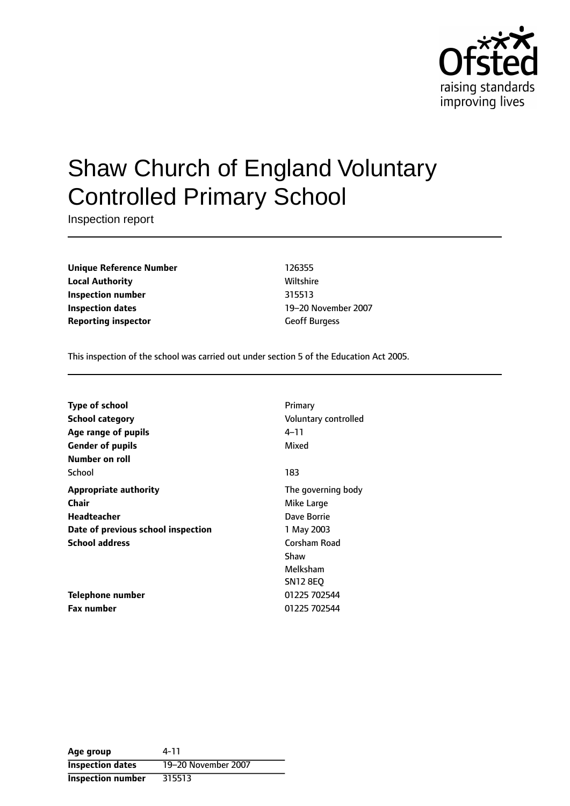

# Shaw Church of England Voluntary Controlled Primary School

Inspection report

**Unique Reference Number** 126355 **Local Authority Miltshire** Wiltshire **Inspection number** 315513 **Inspection dates** 19-20 November 2007 **Reporting inspector** Geoff Burgess

This inspection of the school was carried out under section 5 of the Education Act 2005.

| <b>Type of school</b>              | Primary              |
|------------------------------------|----------------------|
| <b>School category</b>             | Voluntary controlled |
| Age range of pupils                | 4–11                 |
| <b>Gender of pupils</b>            | Mixed                |
| Number on roll                     |                      |
| School                             | 183                  |
| <b>Appropriate authority</b>       | The governing body   |
| Chair                              | Mike Large           |
| Headteacher                        | Dave Borrie          |
| Date of previous school inspection | 1 May 2003           |
| <b>School address</b>              | Corsham Road         |
|                                    | Shaw                 |
|                                    | Melksham             |
|                                    | <b>SN12 8EQ</b>      |
| Telephone number                   | 01225 702544         |
| <b>Fax number</b>                  | 01225 702544         |

**Age group** 4-11 **Inspection dates** 19-20 November 2007 **Inspection number** 315513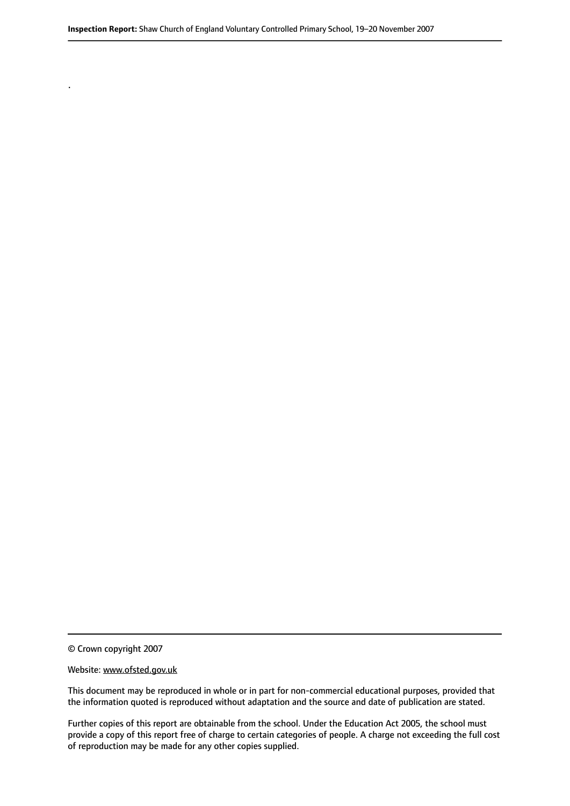© Crown copyright 2007

.

#### Website: www.ofsted.gov.uk

This document may be reproduced in whole or in part for non-commercial educational purposes, provided that the information quoted is reproduced without adaptation and the source and date of publication are stated.

Further copies of this report are obtainable from the school. Under the Education Act 2005, the school must provide a copy of this report free of charge to certain categories of people. A charge not exceeding the full cost of reproduction may be made for any other copies supplied.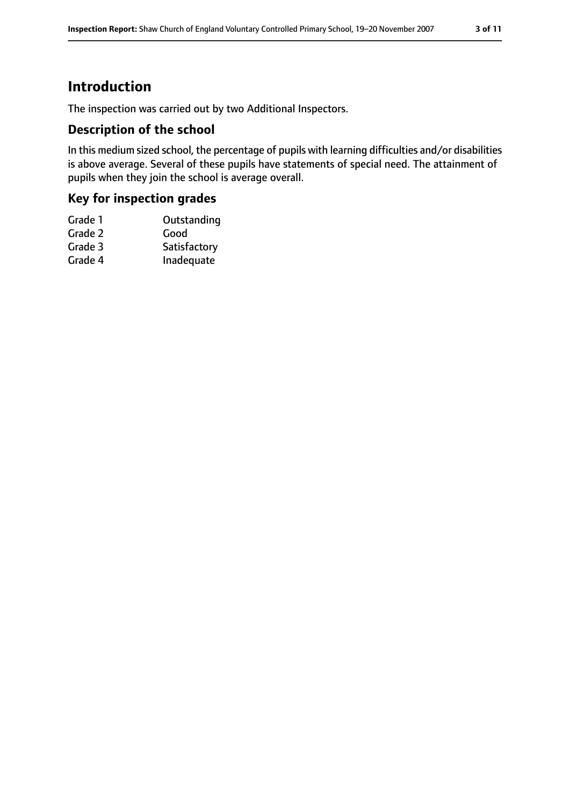# **Introduction**

The inspection was carried out by two Additional Inspectors.

## **Description of the school**

In this medium sized school, the percentage of pupils with learning difficulties and/or disabilities is above average. Several of these pupils have statements of special need. The attainment of pupils when they join the school is average overall.

## **Key for inspection grades**

| Grade 1 | Outstanding  |
|---------|--------------|
| Grade 2 | Good         |
| Grade 3 | Satisfactory |
| Grade 4 | Inadequate   |
|         |              |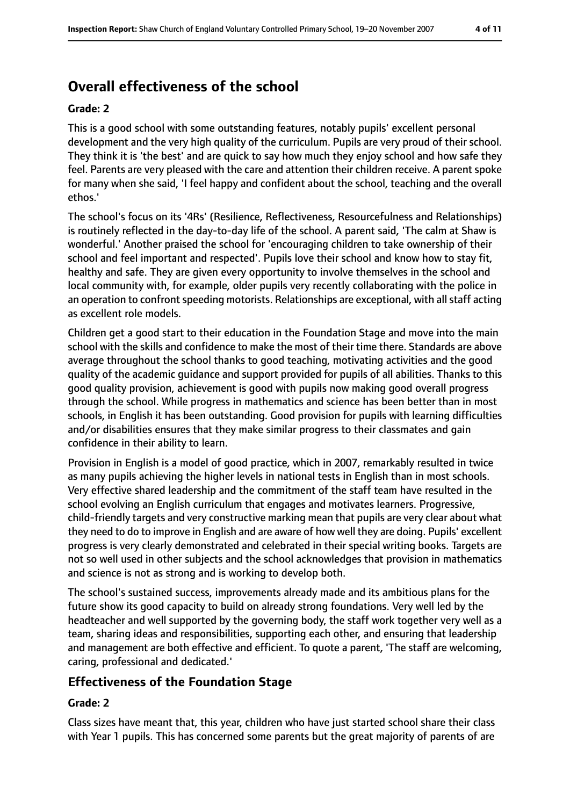# **Overall effectiveness of the school**

#### **Grade: 2**

This is a good school with some outstanding features, notably pupils' excellent personal development and the very high quality of the curriculum. Pupils are very proud of their school. They think it is 'the best' and are quick to say how much they enjoy school and how safe they feel. Parents are very pleased with the care and attention their children receive. A parent spoke for many when she said, 'I feel happy and confident about the school, teaching and the overall ethos.'

The school's focus on its '4Rs' (Resilience, Reflectiveness, Resourcefulness and Relationships) is routinely reflected in the day-to-day life of the school. A parent said, 'The calm at Shaw is wonderful.' Another praised the school for 'encouraging children to take ownership of their school and feel important and respected'. Pupils love their school and know how to stay fit, healthy and safe. They are given every opportunity to involve themselves in the school and local community with, for example, older pupils very recently collaborating with the police in an operation to confront speeding motorists. Relationships are exceptional, with all staff acting as excellent role models.

Children get a good start to their education in the Foundation Stage and move into the main school with the skills and confidence to make the most of their time there. Standards are above average throughout the school thanks to good teaching, motivating activities and the good quality of the academic guidance and support provided for pupils of all abilities. Thanks to this good quality provision, achievement is good with pupils now making good overall progress through the school. While progress in mathematics and science has been better than in most schools, in English it has been outstanding. Good provision for pupils with learning difficulties and/or disabilities ensures that they make similar progress to their classmates and gain confidence in their ability to learn.

Provision in English is a model of good practice, which in 2007, remarkably resulted in twice as many pupils achieving the higher levels in national tests in English than in most schools. Very effective shared leadership and the commitment of the staff team have resulted in the school evolving an English curriculum that engages and motivates learners. Progressive, child-friendly targets and very constructive marking mean that pupils are very clear about what they need to do to improve in English and are aware of how well they are doing. Pupils' excellent progress is very clearly demonstrated and celebrated in their special writing books. Targets are not so well used in other subjects and the school acknowledges that provision in mathematics and science is not as strong and is working to develop both.

The school's sustained success, improvements already made and its ambitious plans for the future show its good capacity to build on already strong foundations. Very well led by the headteacher and well supported by the governing body, the staff work together very well as a team, sharing ideas and responsibilities, supporting each other, and ensuring that leadership and management are both effective and efficient. To quote a parent, 'The staff are welcoming, caring, professional and dedicated.'

## **Effectiveness of the Foundation Stage**

#### **Grade: 2**

Class sizes have meant that, this year, children who have just started school share their class with Year 1 pupils. This has concerned some parents but the great majority of parents of are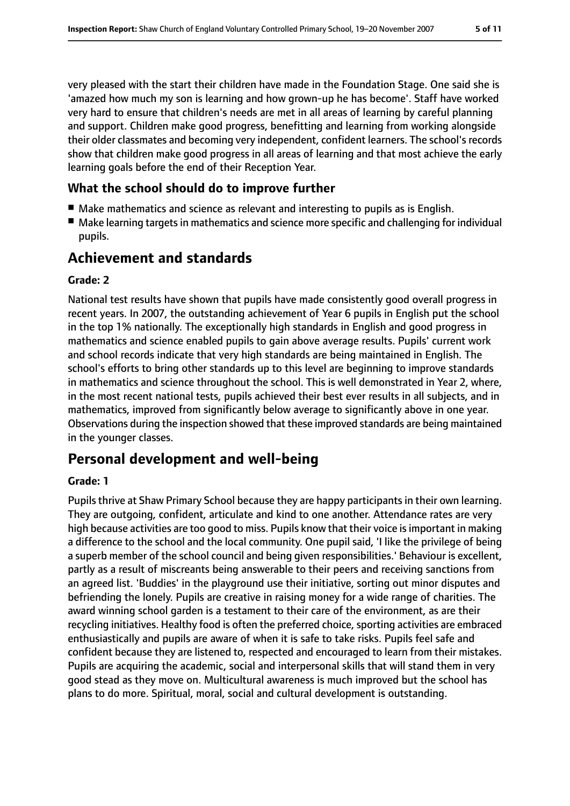very pleased with the start their children have made in the Foundation Stage. One said she is 'amazed how much my son is learning and how grown-up he has become'. Staff have worked very hard to ensure that children's needs are met in all areas of learning by careful planning and support. Children make good progress, benefitting and learning from working alongside their older classmates and becoming very independent, confident learners. The school's records show that children make good progress in all areas of learning and that most achieve the early learning goals before the end of their Reception Year.

## **What the school should do to improve further**

- Make mathematics and science as relevant and interesting to pupils as is English.
- Make learning targets in mathematics and science more specific and challenging for individual pupils.

# **Achievement and standards**

#### **Grade: 2**

National test results have shown that pupils have made consistently good overall progress in recent years. In 2007, the outstanding achievement of Year 6 pupils in English put the school in the top 1% nationally. The exceptionally high standards in English and good progress in mathematics and science enabled pupils to gain above average results. Pupils' current work and school records indicate that very high standards are being maintained in English. The school's efforts to bring other standards up to this level are beginning to improve standards in mathematics and science throughout the school. This is well demonstrated in Year 2, where, in the most recent national tests, pupils achieved their best ever results in all subjects, and in mathematics, improved from significantly below average to significantly above in one year. Observations during the inspection showed that these improved standards are being maintained in the younger classes.

# **Personal development and well-being**

## **Grade: 1**

Pupils thrive at Shaw Primary School because they are happy participants in their own learning. They are outgoing, confident, articulate and kind to one another. Attendance rates are very high because activities are too good to miss. Pupils know that their voice is important in making a difference to the school and the local community. One pupil said, 'I like the privilege of being a superb member of the school council and being given responsibilities.' Behaviour is excellent, partly as a result of miscreants being answerable to their peers and receiving sanctions from an agreed list. 'Buddies' in the playground use their initiative, sorting out minor disputes and befriending the lonely. Pupils are creative in raising money for a wide range of charities. The award winning school garden is a testament to their care of the environment, as are their recycling initiatives. Healthy food is often the preferred choice, sporting activities are embraced enthusiastically and pupils are aware of when it is safe to take risks. Pupils feel safe and confident because they are listened to, respected and encouraged to learn from their mistakes. Pupils are acquiring the academic, social and interpersonal skills that will stand them in very good stead as they move on. Multicultural awareness is much improved but the school has plans to do more. Spiritual, moral, social and cultural development is outstanding.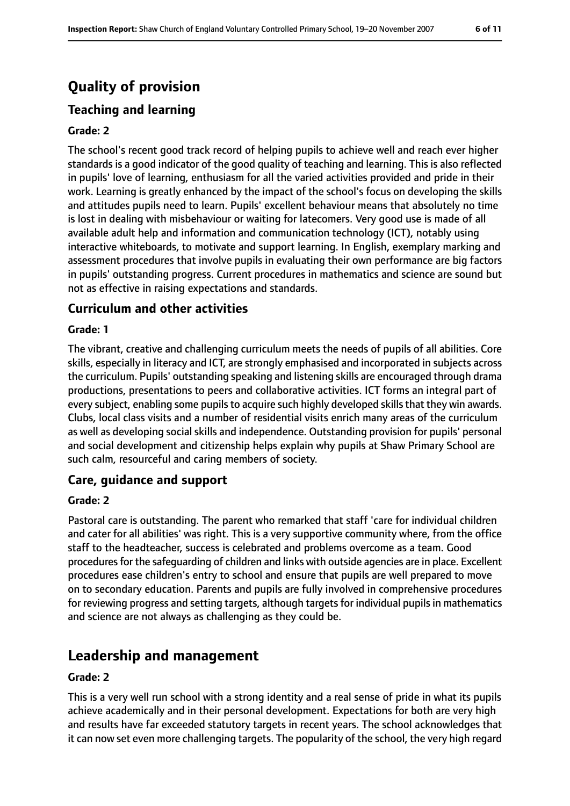# **Quality of provision**

# **Teaching and learning**

#### **Grade: 2**

The school's recent good track record of helping pupils to achieve well and reach ever higher standards is a good indicator of the good quality of teaching and learning. This is also reflected in pupils' love of learning, enthusiasm for all the varied activities provided and pride in their work. Learning is greatly enhanced by the impact of the school's focus on developing the skills and attitudes pupils need to learn. Pupils' excellent behaviour means that absolutely no time is lost in dealing with misbehaviour or waiting for latecomers. Very good use is made of all available adult help and information and communication technology (ICT), notably using interactive whiteboards, to motivate and support learning. In English, exemplary marking and assessment procedures that involve pupils in evaluating their own performance are big factors in pupils' outstanding progress. Current procedures in mathematics and science are sound but not as effective in raising expectations and standards.

## **Curriculum and other activities**

#### **Grade: 1**

The vibrant, creative and challenging curriculum meets the needs of pupils of all abilities. Core skills, especially in literacy and ICT, are strongly emphasised and incorporated in subjects across the curriculum. Pupils' outstanding speaking and listening skills are encouraged through drama productions, presentations to peers and collaborative activities. ICT forms an integral part of every subject, enabling some pupils to acquire such highly developed skills that they win awards. Clubs, local class visits and a number of residential visits enrich many areas of the curriculum as well as developing social skills and independence. Outstanding provision for pupils' personal and social development and citizenship helps explain why pupils at Shaw Primary School are such calm, resourceful and caring members of society.

## **Care, guidance and support**

#### **Grade: 2**

Pastoral care is outstanding. The parent who remarked that staff 'care for individual children and cater for all abilities' was right. This is a very supportive community where, from the office staff to the headteacher, success is celebrated and problems overcome as a team. Good procedures for the safeguarding of children and links with outside agencies are in place. Excellent procedures ease children's entry to school and ensure that pupils are well prepared to move on to secondary education. Parents and pupils are fully involved in comprehensive procedures for reviewing progress and setting targets, although targets for individual pupils in mathematics and science are not always as challenging as they could be.

# **Leadership and management**

#### **Grade: 2**

This is a very well run school with a strong identity and a real sense of pride in what its pupils achieve academically and in their personal development. Expectations for both are very high and results have far exceeded statutory targets in recent years. The school acknowledges that it can now set even more challenging targets. The popularity of the school, the very high regard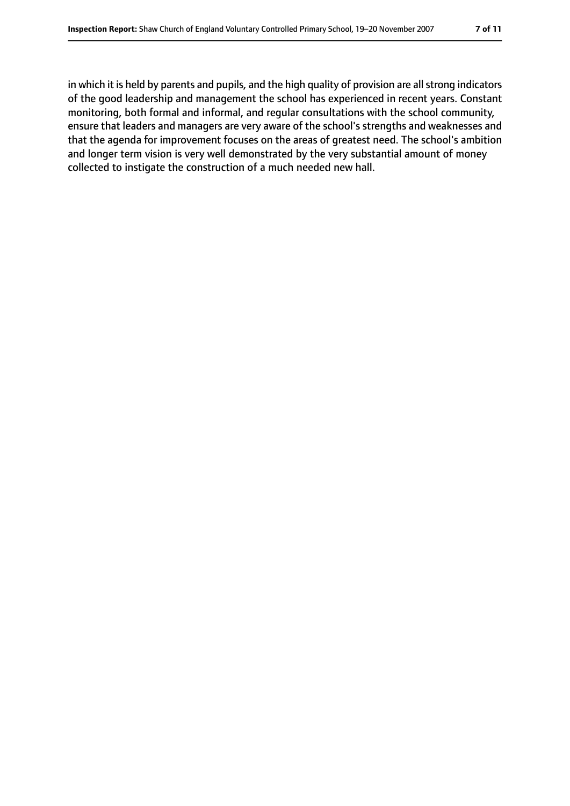in which it is held by parents and pupils, and the high quality of provision are all strong indicators of the good leadership and management the school has experienced in recent years. Constant monitoring, both formal and informal, and regular consultations with the school community, ensure that leaders and managers are very aware of the school's strengths and weaknesses and that the agenda for improvement focuses on the areas of greatest need. The school's ambition and longer term vision is very well demonstrated by the very substantial amount of money collected to instigate the construction of a much needed new hall.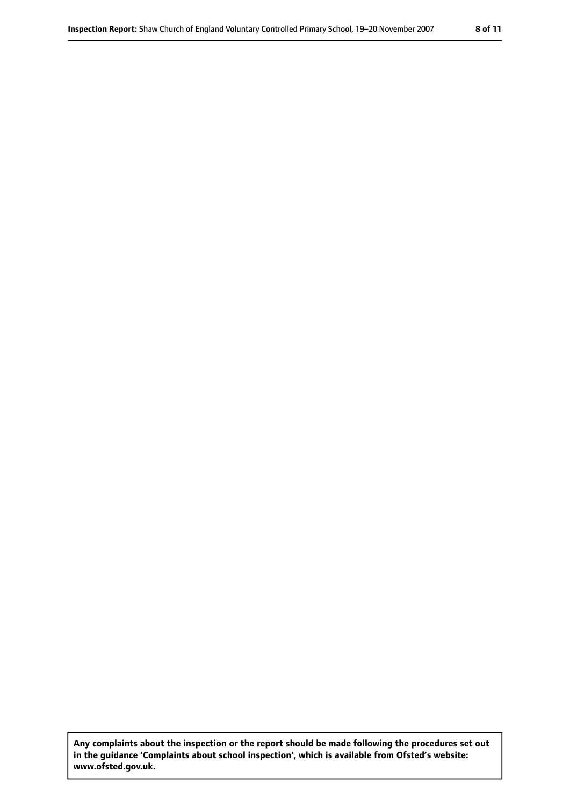**Any complaints about the inspection or the report should be made following the procedures set out in the guidance 'Complaints about school inspection', which is available from Ofsted's website: www.ofsted.gov.uk.**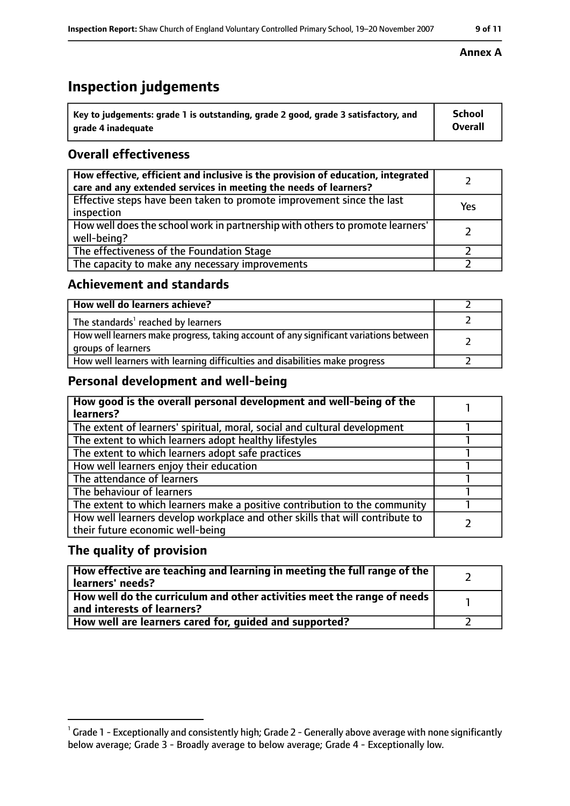# **Inspection judgements**

| key to judgements: grade 1 is outstanding, grade 2 good, grade 3 satisfactory, and ا | <b>School</b>  |
|--------------------------------------------------------------------------------------|----------------|
| arade 4 inadequate                                                                   | <b>Overall</b> |

## **Overall effectiveness**

| How effective, efficient and inclusive is the provision of education, integrated<br>care and any extended services in meeting the needs of learners? |     |
|------------------------------------------------------------------------------------------------------------------------------------------------------|-----|
| Effective steps have been taken to promote improvement since the last<br>inspection                                                                  | Yes |
| How well does the school work in partnership with others to promote learners'<br>well-being?                                                         |     |
| The effectiveness of the Foundation Stage                                                                                                            |     |
| The capacity to make any necessary improvements                                                                                                      |     |

## **Achievement and standards**

| How well do learners achieve?                                                                               |  |
|-------------------------------------------------------------------------------------------------------------|--|
| The standards <sup>1</sup> reached by learners                                                              |  |
| How well learners make progress, taking account of any significant variations between<br>groups of learners |  |
| How well learners with learning difficulties and disabilities make progress                                 |  |

## **Personal development and well-being**

| How good is the overall personal development and well-being of the<br>learners?                                  |  |
|------------------------------------------------------------------------------------------------------------------|--|
| The extent of learners' spiritual, moral, social and cultural development                                        |  |
| The extent to which learners adopt healthy lifestyles                                                            |  |
| The extent to which learners adopt safe practices                                                                |  |
| How well learners enjoy their education                                                                          |  |
| The attendance of learners                                                                                       |  |
| The behaviour of learners                                                                                        |  |
| The extent to which learners make a positive contribution to the community                                       |  |
| How well learners develop workplace and other skills that will contribute to<br>their future economic well-being |  |

## **The quality of provision**

| How effective are teaching and learning in meeting the full range of the<br>learners' needs?          |  |
|-------------------------------------------------------------------------------------------------------|--|
| How well do the curriculum and other activities meet the range of needs<br>and interests of learners? |  |
| How well are learners cared for, guided and supported?                                                |  |

#### **Annex A**

 $^1$  Grade 1 - Exceptionally and consistently high; Grade 2 - Generally above average with none significantly below average; Grade 3 - Broadly average to below average; Grade 4 - Exceptionally low.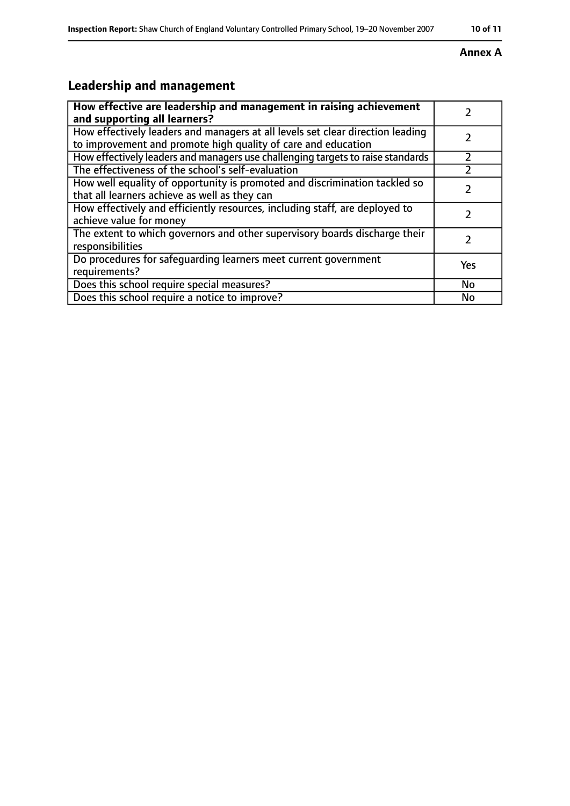#### **Annex A**

# **Leadership and management**

| How effective are leadership and management in raising achievement<br>and supporting all learners?                                              |     |
|-------------------------------------------------------------------------------------------------------------------------------------------------|-----|
| How effectively leaders and managers at all levels set clear direction leading<br>to improvement and promote high quality of care and education |     |
| How effectively leaders and managers use challenging targets to raise standards                                                                 |     |
| The effectiveness of the school's self-evaluation                                                                                               |     |
| How well equality of opportunity is promoted and discrimination tackled so<br>that all learners achieve as well as they can                     |     |
| How effectively and efficiently resources, including staff, are deployed to<br>achieve value for money                                          | 7   |
| The extent to which governors and other supervisory boards discharge their<br>responsibilities                                                  |     |
| Do procedures for safequarding learners meet current government<br>requirements?                                                                | Yes |
| Does this school require special measures?                                                                                                      | No  |
| Does this school require a notice to improve?                                                                                                   | No  |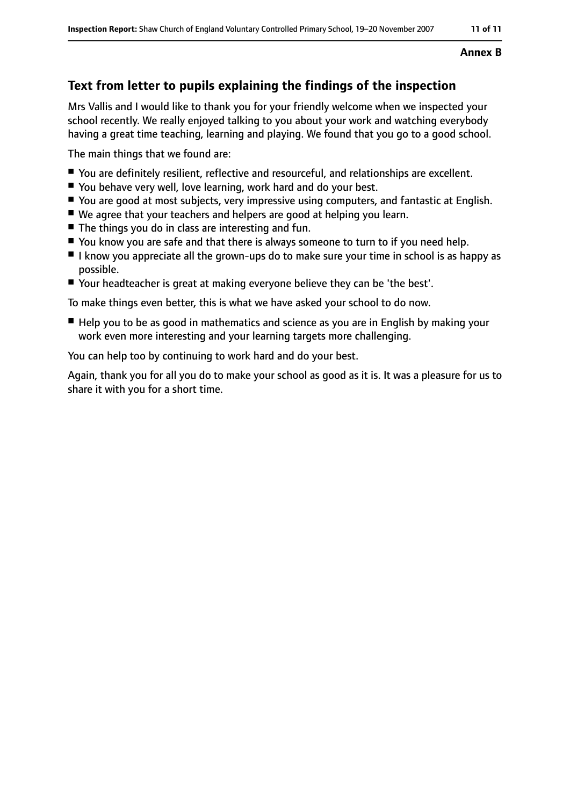#### **Annex B**

# **Text from letter to pupils explaining the findings of the inspection**

Mrs Vallis and I would like to thank you for your friendly welcome when we inspected your school recently. We really enjoyed talking to you about your work and watching everybody having a great time teaching, learning and playing. We found that you go to a good school.

The main things that we found are:

- You are definitely resilient, reflective and resourceful, and relationships are excellent.
- You behave very well, love learning, work hard and do your best.
- You are good at most subjects, very impressive using computers, and fantastic at English.
- We agree that your teachers and helpers are good at helping you learn.
- The things you do in class are interesting and fun.
- You know you are safe and that there is always someone to turn to if you need help.
- I know you appreciate all the grown-ups do to make sure your time in school is as happy as possible.
- Your headteacher is great at making everyone believe they can be 'the best'.

To make things even better, this is what we have asked your school to do now.

■ Help you to be as good in mathematics and science as you are in English by making your work even more interesting and your learning targets more challenging.

You can help too by continuing to work hard and do your best.

Again, thank you for all you do to make your school as good as it is. It was a pleasure for us to share it with you for a short time.